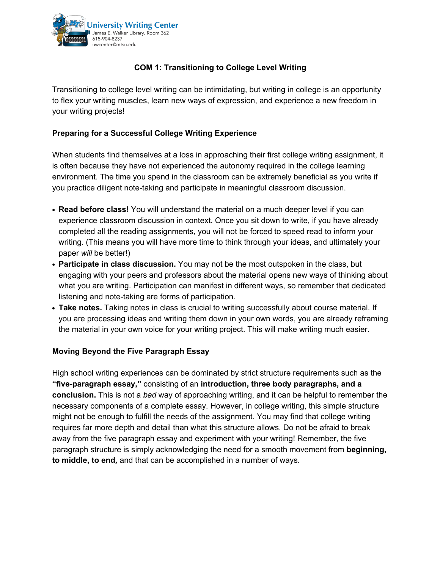

## **COM 1: Transitioning to College Level Writing**

Transitioning to college level writing can be intimidating, but writing in college is an opportunity to flex your writing muscles, learn new ways of expression, and experience a new freedom in your writing projects!

## **Preparing for a Successful College Writing Experience**

When students find themselves at a loss in approaching their first college writing assignment, it is often because they have not experienced the autonomy required in the college learning environment. The time you spend in the classroom can be extremely beneficial as you write if you practice diligent note-taking and participate in meaningful classroom discussion.

- **• Read before class!** You will understand the material on a much deeper level if you can experience classroom discussion in context. Once you sit down to write, if you have already completed all the reading assignments, you will not be forced to speed read to inform your writing. (This means you will have more time to think through your ideas, and ultimately your paper *will* be better!)
- **• Participate in class discussion.** You may not be the most outspoken in the class, but engaging with your peers and professors about the material opens new ways of thinking about what you are writing. Participation can manifest in different ways, so remember that dedicated listening and note-taking are forms of participation.
- **• Take notes.** Taking notes in class is crucial to writing successfully about course material. If you are processing ideas and writing them down in your own words, you are already reframing the material in your own voice for your writing project. This will make writing much easier.

## **Moving Beyond the Five Paragraph Essay**

High school writing experiences can be dominated by strict structure requirements such as the **"five-paragraph essay,"** consisting of an **introduction, three body paragraphs, and a conclusion.** This is not a *bad* way of approaching writing, and it can be helpful to remember the necessary components of a complete essay. However, in college writing, this simple structure might not be enough to fulfill the needs of the assignment. You may find that college writing requires far more depth and detail than what this structure allows. Do not be afraid to break away from the five paragraph essay and experiment with your writing! Remember, the five paragraph structure is simply acknowledging the need for a smooth movement from **beginning, to middle, to end***,* and that can be accomplished in a number of ways.